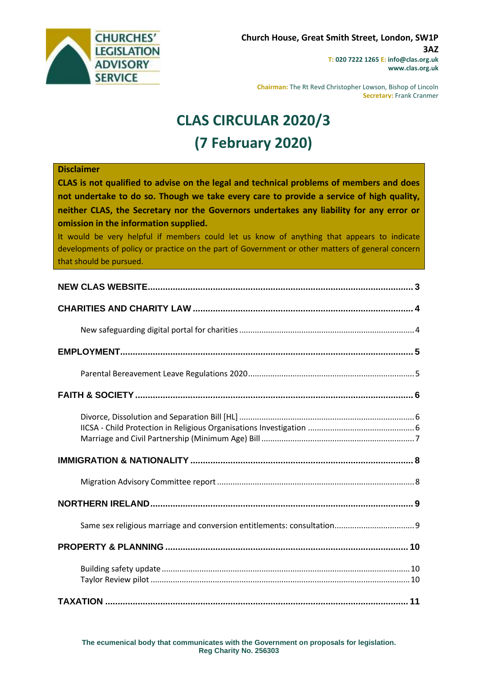

**Chairman:** The Rt Revd Christopher Lowson, Bishop of Lincoln **Secretary:** Frank Cranmer

# **CLAS CIRCULAR 2020/3 (7 February 2020)**

#### **Disclaimer**

**CLAS is not qualified to advise on the legal and technical problems of members and does not undertake to do so. Though we take every care to provide a service of high quality, neither CLAS, the Secretary nor the Governors undertakes any liability for any error or omission in the information supplied.**

It would be very helpful if members could let us know of anything that appears to indicate developments of policy or practice on the part of Government or other matters of general concern that should be pursued.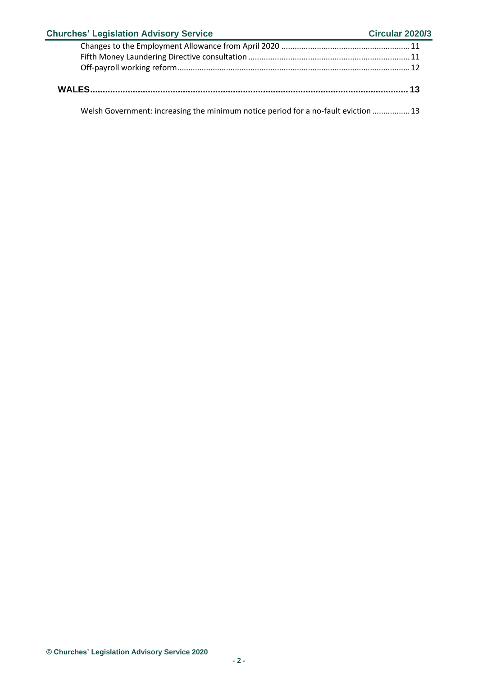| <b>Churches' Legislation Advisory Service</b>                                      | <b>Circular 2020/3</b> |
|------------------------------------------------------------------------------------|------------------------|
|                                                                                    |                        |
|                                                                                    |                        |
|                                                                                    |                        |
|                                                                                    |                        |
| Welsh Government: increasing the minimum notice period for a no-fault eviction  13 |                        |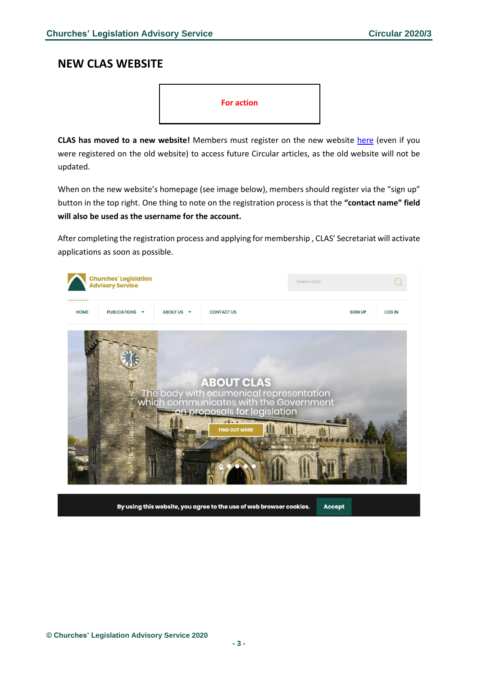### <span id="page-2-0"></span>**NEW CLAS WEBSITE**



**CLAS has moved to a new website!** Members must register on the new website [here](https://www.churcheslegislation.org.uk/) (even if you were registered on the old website) to access future Circular articles, as the old website will not be updated.

When on the new website's homepage (see image below), members should register via the "sign up" button in the top right. One thing to note on the registration process is that the **"contact name" field will also be used as the username for the account.**

After completing the registration process and applying for membership , CLAS' Secretariat will activate applications as soon as possible.

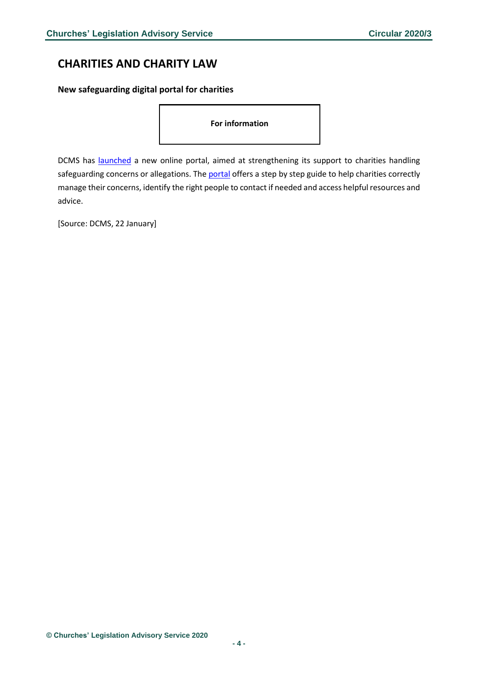# <span id="page-3-0"></span>**CHARITIES AND CHARITY LAW**

<span id="page-3-1"></span>**New safeguarding digital portal for charities** 

**For information** 

DCMS has [launched](https://www.gov.uk/government/news/new-digital-portal-to-strengthen-safeguarding-guidance-for-charities) a new online portal, aimed at strengthening its support to charities handling safeguarding concerns or allegations. The [portal](https://www.safeguarding.culture.gov.uk/) offers a step by step guide to help charities correctly manage their concerns, identify the right people to contact if needed and access helpful resources and advice.

[Source: DCMS, 22 January]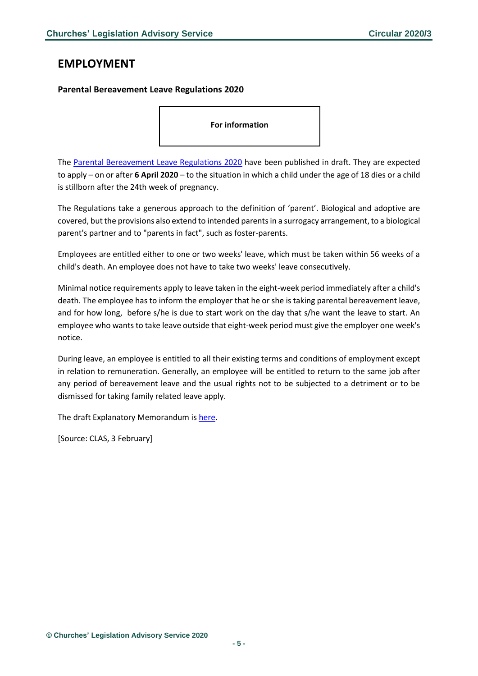### <span id="page-4-0"></span>**EMPLOYMENT**

### <span id="page-4-1"></span>**Parental Bereavement Leave Regulations 2020**

**For information** 

The [Parental Bereavement Leave Regulations 2020](https://www.legislation.gov.uk/ukdsi/2020/9780111192245/contents) have been published in draft. They are expected to apply – on or after **6 April 2020** – to the situation in which a child under the age of 18 dies or a child is stillborn after the 24th week of pregnancy.

The Regulations take a generous approach to the definition of 'parent'. Biological and adoptive are covered, but the provisions also extend to intended parents in a surrogacy arrangement, to a biological parent's partner and to "parents in fact", such as foster-parents.

Employees are entitled either to one or two weeks' leave, which must be taken within 56 weeks of a child's death. An employee does not have to take two weeks' leave consecutively.

Minimal notice requirements apply to leave taken in the eight-week period immediately after a child's death. The employee has to inform the employer that he or she is taking parental bereavement leave, and for how long, before s/he is due to start work on the day that s/he want the leave to start. An employee who wants to take leave outside that eight-week period must give the employer one week's notice.

During leave, an employee is entitled to all their existing terms and conditions of employment except in relation to remuneration. Generally, an employee will be entitled to return to the same job after any period of bereavement leave and the usual rights not to be subjected to a detriment or to be dismissed for taking family related leave apply.

The draft Explanatory Memorandum i[s here.](https://www.legislation.gov.uk/ukdsi/2020/9780111192245/memorandum/contents)

[Source: CLAS, 3 February]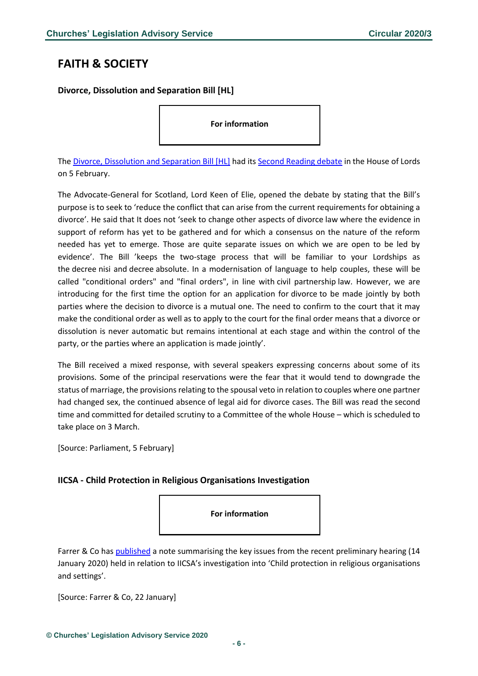## <span id="page-5-0"></span>**FAITH & SOCIETY**

<span id="page-5-1"></span>**Divorce, Dissolution and Separation Bill [HL]**

**For information** 

The [Divorce, Dissolution and Separation Bill \[HL\]](https://services.parliament.uk/bills/2019-20/divorcedissolutionandseparation.html) had it[s Second Reading debate](https://hansard.parliament.uk/lords/2020-02-05/debates/81678CD1-63E7-4F5A-A70F-44E3B4A4EBEC/DivorceDissolutionAndSeparationBill(HL)) in the House of Lords on 5 February.

The Advocate-General for Scotland, Lord Keen of Elie, opened the debate by stating that the Bill's purpose is to seek to 'reduce the conflict that can arise from the current requirements for obtaining a divorce'. He said that It does not 'seek to change other aspects of divorce law where the evidence in support of reform has yet to be gathered and for which a consensus on the nature of the reform needed has yet to emerge. Those are quite separate issues on which we are open to be led by evidence'. The Bill 'keeps the two-stage process that will be familiar to your Lordships as the decree nisi and decree absolute. In a modernisation of language to help couples, these will be called "conditional orders" and "final orders", in line with civil partnership law. However, we are introducing for the first time the option for an application for divorce to be made jointly by both parties where the decision to divorce is a mutual one. The need to confirm to the court that it may make the conditional order as well as to apply to the court for the final order means that a divorce or dissolution is never automatic but remains intentional at each stage and within the control of the party, or the parties where an application is made jointly'.

The Bill received a mixed response, with several speakers expressing concerns about some of its provisions. Some of the principal reservations were the fear that it would tend to downgrade the status of marriage, the provisions relating to the spousal veto in relation to couples where one partner had changed sex, the continued absence of legal aid for divorce cases. The Bill was read the second time and committed for detailed scrutiny to a Committee of the whole House – which is scheduled to take place on 3 March.

[Source: Parliament, 5 February]

### <span id="page-5-2"></span>**IICSA - Child Protection in Religious Organisations Investigation**

**For information** 

Farrer & Co has [published](https://sites-farrer.vuture.net/97/1524/uploads/iicsa---child-protection-in-religious-organisations-investigation-22.01.2020.pdf) a note summarising the key issues from the recent preliminary hearing (14 January 2020) held in relation to IICSA's investigation into 'Child protection in religious organisations and settings'.

[Source: Farrer & Co, 22 January]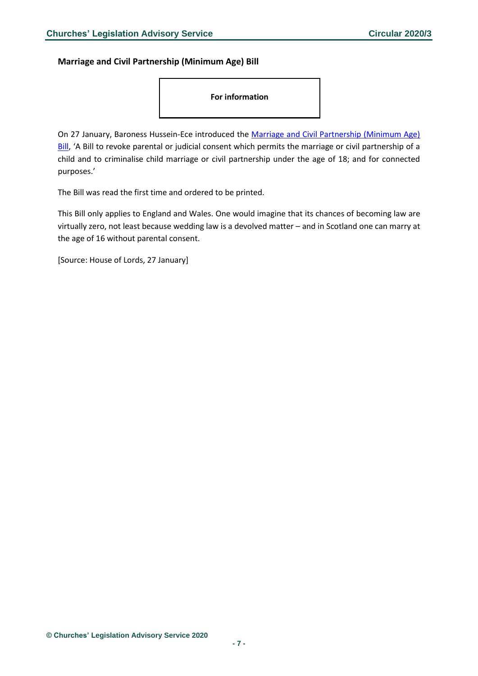<span id="page-6-0"></span>**Marriage and Civil Partnership (Minimum Age) Bill**

**For information** 

On 27 January, Baroness Hussein-Ece introduced the [Marriage and Civil Partnership \(Minimum Age\)](https://publications.parliament.uk/pa/bills/lbill/58-01/061/5801061.pdf)  [Bill](https://publications.parliament.uk/pa/bills/lbill/58-01/061/5801061.pdf), 'A Bill to revoke parental or judicial consent which permits the marriage or civil partnership of a child and to criminalise child marriage or civil partnership under the age of 18; and for connected purposes.'

The Bill was read the first time and ordered to be printed.

This Bill only applies to England and Wales. One would imagine that its chances of becoming law are virtually zero, not least because wedding law is a devolved matter – and in Scotland one can marry at the age of 16 without parental consent.

[Source: House of Lords, 27 January]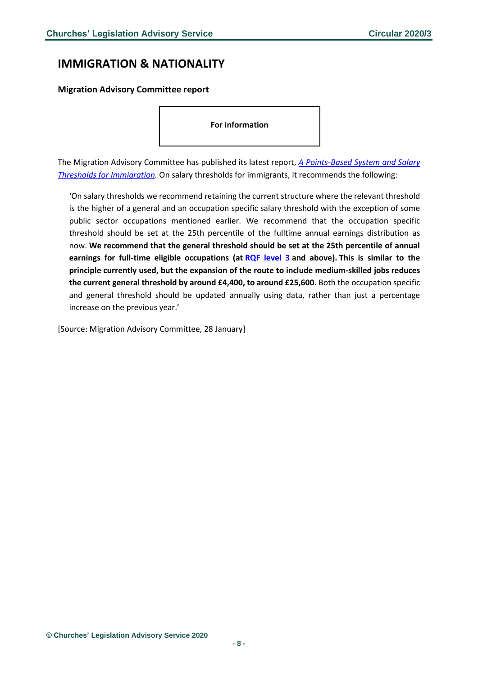### <span id="page-7-0"></span>**IMMIGRATION & NATIONALITY**

<span id="page-7-1"></span>**Migration Advisory Committee report**

**For information** 

The Migration Advisory Committee has published its latest report, *[A Points-Based System and Salary](https://assets.publishing.service.gov.uk/government/uploads/system/uploads/attachment_data/file/860669/PBS_and_Salary_Thresholds_Report_MAC.pdf)  [Thresholds for Immigration.](https://assets.publishing.service.gov.uk/government/uploads/system/uploads/attachment_data/file/860669/PBS_and_Salary_Thresholds_Report_MAC.pdf)* On salary thresholds for immigrants, it recommends the following:

'On salary thresholds we recommend retaining the current structure where the relevant threshold is the higher of a general and an occupation specific salary threshold with the exception of some public sector occupations mentioned earlier. We recommend that the occupation specific threshold should be set at the 25th percentile of the fulltime annual earnings distribution as now. **We recommend that the general threshold should be set at the 25th percentile of annual earnings for full-time eligible occupations (at [RQF level 3](https://www.iqualifyuk.com/What-do-the-RQF-levels-mean) and above). This is similar to the principle currently used, but the expansion of the route to include medium-skilled jobs reduces the current general threshold by around £4,400, to around £25,600**. Both the occupation specific and general threshold should be updated annually using data, rather than just a percentage increase on the previous year.'

[Source: Migration Advisory Committee, 28 January]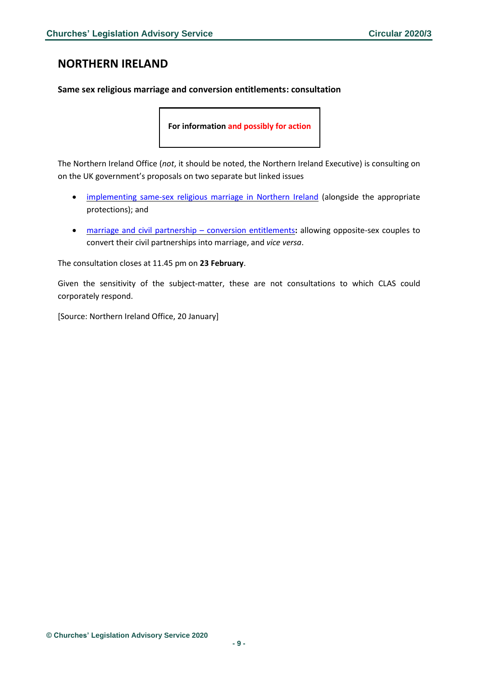# <span id="page-8-0"></span>**NORTHERN IRELAND**

### <span id="page-8-1"></span>**Same sex religious marriage and conversion entitlements: consultation**

**For information and possibly for action**

The Northern Ireland Office (*not*, it should be noted, the Northern Ireland Executive) is consulting on on the UK government's proposals on two separate but linked issues

- [implementing](https://assets.publishing.service.gov.uk/government/uploads/system/uploads/attachment_data/file/858956/Same-sex_religious_marriage_consultation_document__1___1_.pdf) same-sex religious marriage in Northern Ireland (alongside the appropriate protections); and
- marriage and civil partnership conversion [entitlements](https://assets.publishing.service.gov.uk/government/uploads/system/uploads/attachment_data/file/858960/Marriage_and_Civil_Partnership_-_Conversion_entitlements_consultation_document__1___1_.pdf)**:** allowing opposite-sex couples to convert their civil partnerships into marriage, and *vice versa*.

The consultation closes at 11.45 pm on **23 February**.

Given the sensitivity of the subject-matter, these are not consultations to which CLAS could corporately respond.

[Source: Northern Ireland Office, 20 January]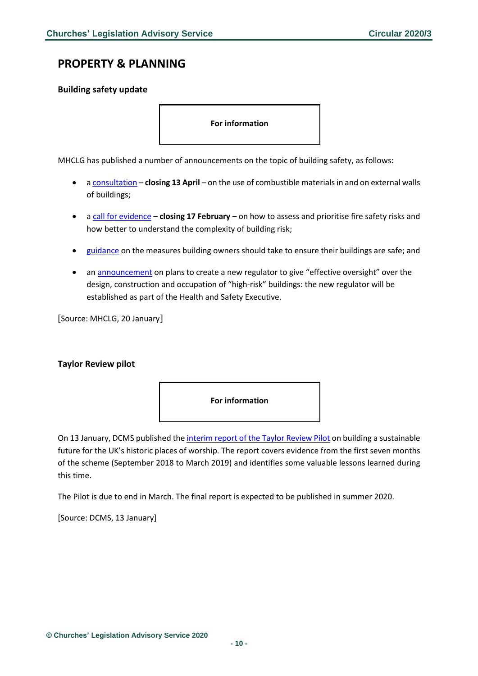### <span id="page-9-0"></span>**PROPERTY & PLANNING**

#### <span id="page-9-1"></span>**Building safety update**

**For information** 

MHCLG has published a number of announcements on the topic of building safety, as follows:

- [a consultation](https://www.gov.uk/government/consultations/review-of-the-ban-on-the-use-of-combustible-materials-in-and-on-the-external-walls-of-buildings?utm_source=7340ae1e-e37a-4dba-bbf5-97bb42495690&utm_medium=email&utm_campaign=govuk-notifications&utm_content=daily) **closing 13 April** on the use of combustible materials in and on external walls of buildings;
- [a call for evidence](https://www.gov.uk/government/consultations/fire-safety-risk-prioritisation-in-existing-buildings-a-call-for-evidence?utm_source=01ffc92e-0e2a-4c17-8a7c-8c41327591a4&utm_medium=email&utm_campaign=govuk-notifications&utm_content=daily) **closing 17 February** on how to assess and prioritise fire safety risks and how better to understand the complexity of building risk;
- [guidance](https://www.gov.uk/government/consultations/fire-safety-risk-prioritisation-in-existing-buildings-a-call-for-evidence?utm_source=01ffc92e-0e2a-4c17-8a7c-8c41327591a4&utm_medium=email&utm_campaign=govuk-notifications&utm_content=daily) on the measures building owners should take to ensure their buildings are safe; and
- a[n announcement](https://www.gov.uk/government/news/new-measures-to-improve-building-safety-standards?utm_source=3198b094-35f9-408b-a060-9df5c3700dca&utm_medium=email&utm_campaign=govuk-notifications&utm_content=daily) on plans to create a new regulator to give "effective oversight" over the design, construction and occupation of "high-risk" buildings: the new regulator will be established as part of the Health and Safety Executive.

[Source: MHCLG, 20 January]

#### <span id="page-9-2"></span>**Taylor Review pilot**



On 13 January, DCMS published the [interim](https://www.gov.uk/government/publications/evaluation-of-the-taylor-review-pilot-emerging-monitoring-and-evaluation-evidence-september-2018-to-march-2019%5d) report of the Taylor Review Pilot on building a sustainable future for the UK's historic places of worship. The report covers evidence from the first seven months of the scheme (September 2018 to March 2019) and identifies some valuable lessons learned during this time.

The Pilot is due to end in March. The final report is expected to be published in summer 2020.

[Source: DCMS, 13 January]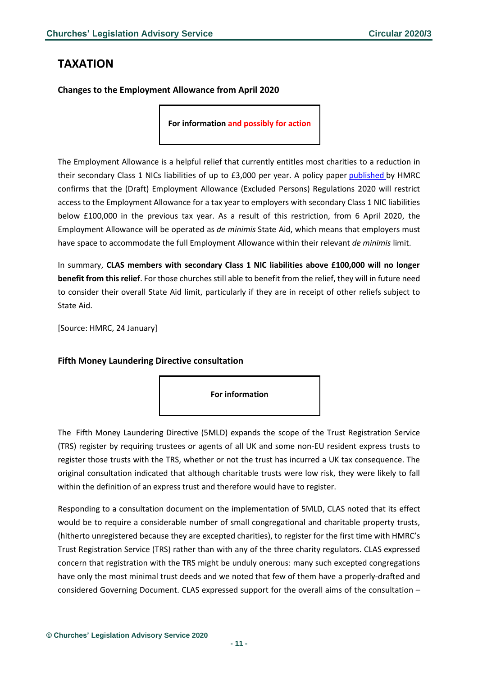## <span id="page-10-0"></span>**TAXATION**

<span id="page-10-1"></span>**Changes to the Employment Allowance from April 2020**

**For information and possibly for action** 

The Employment Allowance is a helpful relief that currently entitles most charities to a reduction in their secondary Class 1 NICs liabilities of up to £3,000 per year. A policy paper [published](https://www.charitytaxgroup.org.uk/news-post/2020/changes-employment-allowance-april-2020/) by HMRC confirms that the (Draft) Employment Allowance (Excluded Persons) Regulations 2020 will restrict access to the Employment Allowance for a tax year to employers with secondary Class 1 NIC liabilities below £100,000 in the previous tax year. As a result of this restriction, from 6 April 2020, the Employment Allowance will be operated as *de minimis* State Aid, which means that employers must have space to accommodate the full Employment Allowance within their relevant *de minimis* limit.

In summary, **CLAS members with secondary Class 1 NIC liabilities above £100,000 will no longer benefit from this relief**. For those churches still able to benefit from the relief, they will in future need to consider their overall State Aid limit, particularly if they are in receipt of other reliefs subject to State Aid.

[Source: HMRC, 24 January]

### <span id="page-10-2"></span>**Fifth Money Laundering Directive consultation**



The Fifth Money Laundering Directive (5MLD) expands the scope of the Trust Registration Service (TRS) register by requiring trustees or agents of all UK and some non-EU resident express trusts to register those trusts with the TRS, whether or not the trust has incurred a UK tax consequence. The original consultation indicated that although charitable trusts were low risk, they were likely to fall within the definition of an express trust and therefore would have to register.

Responding to a consultation document on the implementation of 5MLD, CLAS noted that its effect would be to require a considerable number of small congregational and charitable property trusts, (hitherto unregistered because they are excepted charities), to register for the first time with HMRC's Trust Registration Service (TRS) rather than with any of the three charity regulators. CLAS expressed concern that registration with the TRS might be unduly onerous: many such excepted congregations have only the most minimal trust deeds and we noted that few of them have a properly-drafted and considered Governing Document. CLAS expressed support for the overall aims of the consultation –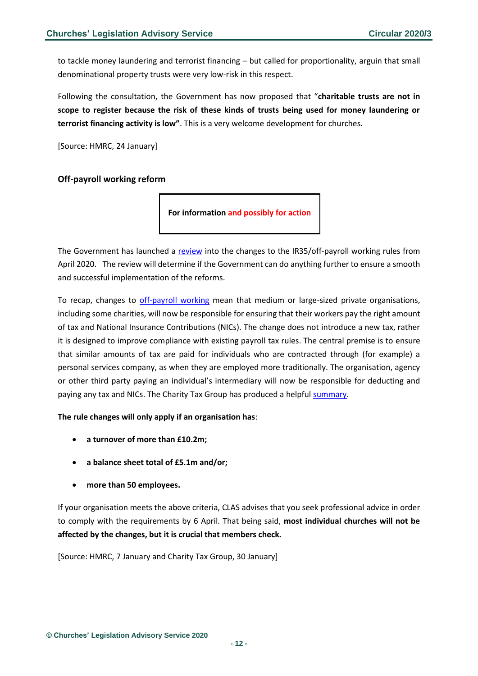to tackle money laundering and terrorist financing – but called for proportionality, arguin that small denominational property trusts were very low-risk in this respect.

Following the consultation, the Government has now proposed that "**charitable trusts are not in scope to register because the risk of these kinds of trusts being used for money laundering or terrorist financing activity is low"**. This is a very welcome development for churches.

[Source: HMRC, 24 January]

#### <span id="page-11-0"></span>**Off-payroll working reform**



The Government has launched a [review](https://www.gov.uk/government/news/off-payroll-review-launched) into the changes to the IR35/off-payroll working rules from April 2020. The review will determine if the Government can do anything further to ensure a smooth and successful implementation of the reforms.

To recap, changes to [off-payroll working](https://www.gov.uk/guidance/understanding-off-payroll-working-ir35) mean that medium or large-sized private organisations, including some charities, will now be responsible for ensuring that their workers pay the right amount of tax and National Insurance Contributions (NICs). The change does not introduce a new tax, rather it is designed to improve compliance with existing payroll tax rules. The central premise is to ensure that similar amounts of tax are paid for individuals who are contracted through (for example) a personal services company, as when they are employed more traditionally. The organisation, agency or other third party paying an individual's intermediary will now be responsible for deducting and paying any tax and NICs. The Charity Tax Group has produced a helpful [summary.](http://www.charitytaxgroup.org.uk/news-post/2020/charity-ready-changes-ir35-off-payroll-working-rules/)

#### **The rule changes will only apply if an organisation has**:

- **a turnover of more than £10.2m;**
- **a balance sheet total of £5.1m and/or;**
- **more than 50 employees.**

If your organisation meets the above criteria, CLAS advises that you seek professional advice in order to comply with the requirements by 6 April. That being said, **most individual churches will not be affected by the changes, but it is crucial that members check.**

[Source: HMRC, 7 January and Charity Tax Group, 30 January]